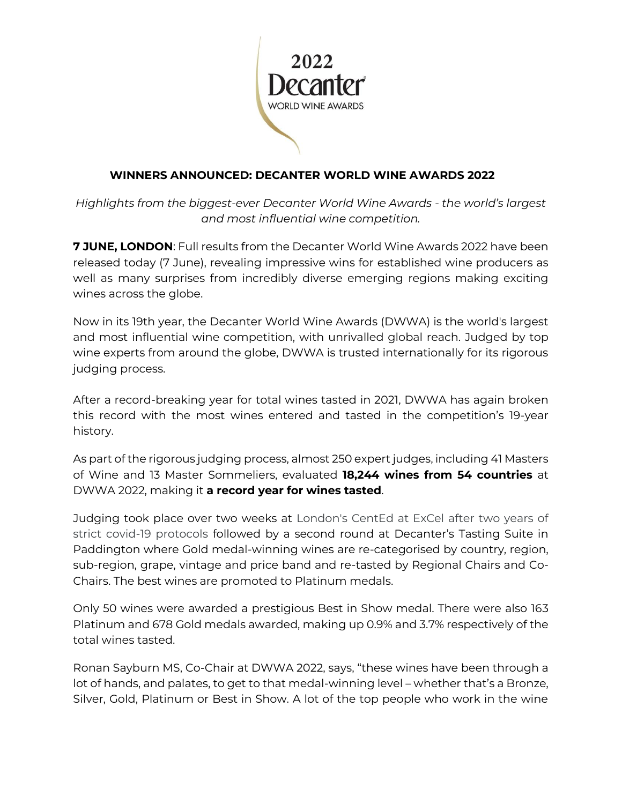

## **WINNERS ANNOUNCED: DECANTER WORLD WINE AWARDS 2022**

*Highlights from the biggest-ever Decanter World Wine Awards - the world's largest and most influential wine competition.*

**7 JUNE, LONDON**: Full results from the Decanter World Wine Awards 2022 have been released today (7 June), revealing impressive wins for established wine producers as well as many surprises from incredibly diverse emerging regions making exciting wines across the globe.

Now in its 19th year, the Decanter World Wine Awards (DWWA) is the world's largest and most influential wine competition, with unrivalled global reach. Judged by top wine experts from around the globe, DWWA is trusted internationally for its rigorous judging process.

After a record-breaking year for total wines tasted in 2021, DWWA has again broken this record with the most wines entered and tasted in the competition's 19-year history.

As part of the rigorous judging process, almost 250 expert judges, including 41 Masters of Wine and 13 Master Sommeliers, evaluated **18,244 wines from 54 countries** at DWWA 2022, making it **a record year for wines tasted**.

Judging took place over two weeks at London's CentEd at ExCel after two years of strict covid-19 protocols followed by a second round at Decanter's Tasting Suite in Paddington where Gold medal-winning wines are re-categorised by country, region, sub-region, grape, vintage and price band and re-tasted by Regional Chairs and Co-Chairs. The best wines are promoted to Platinum medals.

Only 50 wines were awarded a prestigious Best in Show medal. There were also 163 Platinum and 678 Gold medals awarded, making up 0.9% and 3.7% respectively of the total wines tasted.

Ronan Sayburn MS, Co-Chair at DWWA 2022, says, "these wines have been through a lot of hands, and palates, to get to that medal-winning level – whether that's a Bronze, Silver, Gold, Platinum or Best in Show. A lot of the top people who work in the wine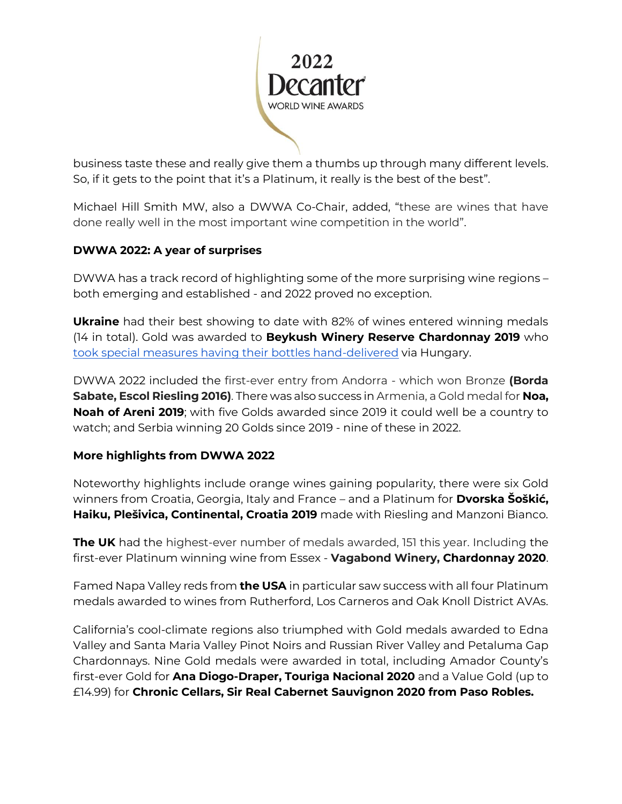

business taste these and really give them a thumbs up through many different levels. So, if it gets to the point that it's a Platinum, it really is the best of the best".

Michael Hill Smith MW, also a DWWA Co-Chair, added, "these are wines that have done really well in the most important wine competition in the world".

# **DWWA 2022: A year of surprises**

DWWA has a track record of highlighting some of the more surprising wine regions – both emerging and established - and 2022 proved no exception.

**Ukraine** had their best showing to date with 82% of wines entered winning medals (14 in total). Gold was awarded to **Beykush Winery Reserve Chardonnay 2019** who [took special measures having their bottles hand-delivered](https://www.decanter.com/decanter-world-wine-awards/ukraine-winerys-mission-to-deliver-bottles-to-dwwa-477464/) via Hungary.

DWWA 2022 included the first-ever entry from Andorra - which won Bronze **(Borda Sabate, Escol Riesling 2016)**. There was also success in Armenia, a Gold medal for **Noa, Noah of Areni 2019**; with five Golds awarded since 2019 it could well be a country to watch; and Serbia winning 20 Golds since 2019 - nine of these in 2022.

### **More highlights from DWWA 2022**

Noteworthy highlights include orange wines gaining popularity, there were six Gold winners from Croatia, Georgia, Italy and France – and a Platinum for **Dvorska Šoškić, Haiku, Plešivica, Continental, Croatia 2019** made with Riesling and Manzoni Bianco.

**The UK** had the highest-ever number of medals awarded, 151 this year. Including the first-ever Platinum winning wine from Essex - **Vagabond Winery, Chardonnay 2020**.

Famed Napa Valley reds from **the USA** in particular saw success with all four Platinum medals awarded to wines from Rutherford, Los Carneros and Oak Knoll District AVAs.

California's cool-climate regions also triumphed with Gold medals awarded to Edna Valley and Santa Maria Valley Pinot Noirs and Russian River Valley and Petaluma Gap Chardonnays. Nine Gold medals were awarded in total, including Amador County's first-ever Gold for **Ana Diogo-Draper, Touriga Nacional 2020** and a Value Gold (up to £14.99) for **Chronic Cellars, Sir Real Cabernet Sauvignon 2020 from Paso Robles.**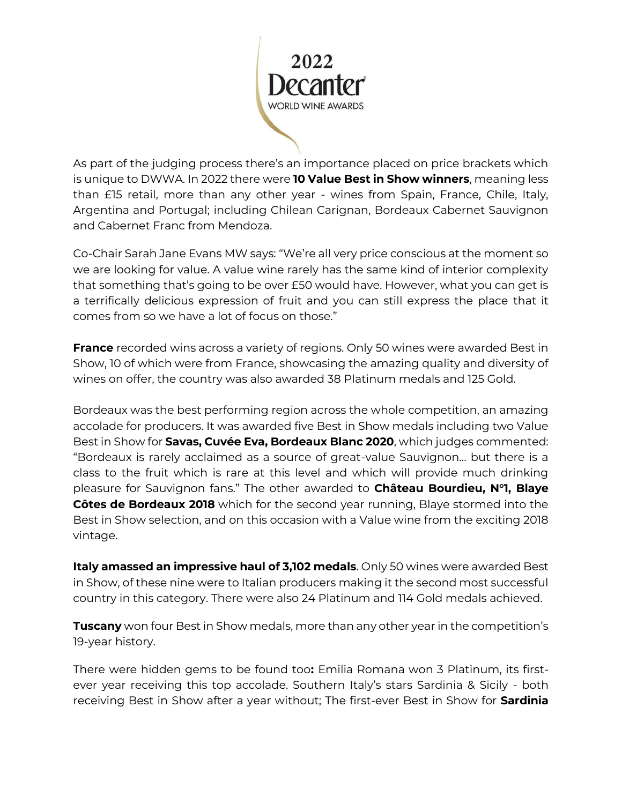

As part of the judging process there's an importance placed on price brackets which is unique to DWWA. In 2022 there were **10 Value Best in Show winners**, meaning less than £15 retail, more than any other year - wines from Spain, France, Chile, Italy, Argentina and Portugal; including Chilean Carignan, Bordeaux Cabernet Sauvignon and Cabernet Franc from Mendoza.

Co-Chair Sarah Jane Evans MW says: "We're all very price conscious at the moment so we are looking for value. A value wine rarely has the same kind of interior complexity that something that's going to be over £50 would have. However, what you can get is a terrifically delicious expression of fruit and you can still express the place that it comes from so we have a lot of focus on those."

**France** recorded wins across a variety of regions. Only 50 wines were awarded Best in Show, 10 of which were from France, showcasing the amazing quality and diversity of wines on offer, the country was also awarded 38 Platinum medals and 125 Gold.

Bordeaux was the best performing region across the whole competition, an amazing accolade for producers. It was awarded five Best in Show medals including two Value Best in Show for **Savas, Cuvée Eva, Bordeaux Blanc 2020**, which judges commented: "Bordeaux is rarely acclaimed as a source of great-value Sauvignon… but there is a class to the fruit which is rare at this level and which will provide much drinking pleasure for Sauvignon fans." The other awarded to **Château Bourdieu, N°1, Blaye Côtes de Bordeaux 2018** which for the second year running, Blaye stormed into the Best in Show selection, and on this occasion with a Value wine from the exciting 2018 vintage.

**Italy amassed an impressive haul of 3,102 medals**. Only 50 wines were awarded Best in Show, of these nine were to Italian producers making it the second most successful country in this category. There were also 24 Platinum and 114 Gold medals achieved.

**Tuscany** won four Best in Show medals, more than any other year in the competition's 19-year history.

There were hidden gems to be found too**:** Emilia Romana won 3 Platinum, its firstever year receiving this top accolade. Southern Italy's stars Sardinia & Sicily - both receiving Best in Show after a year without; The first-ever Best in Show for **Sardinia**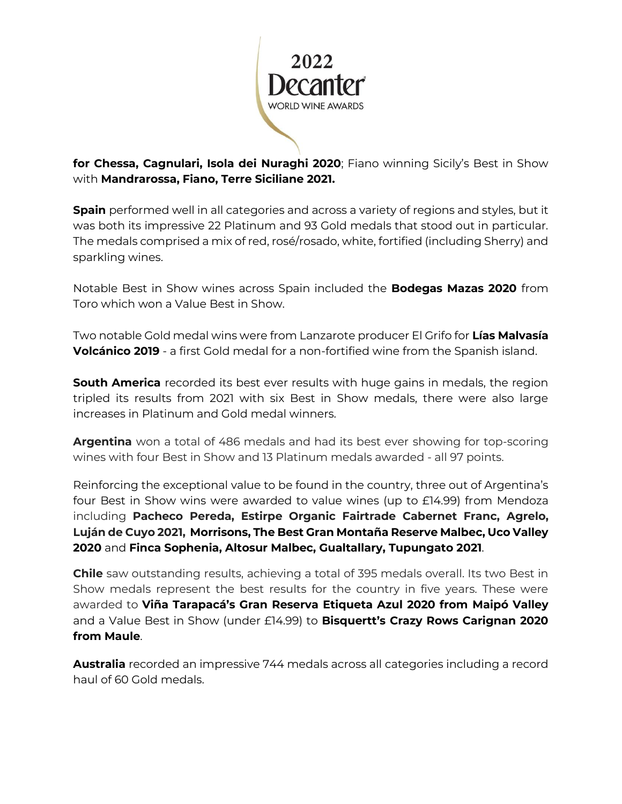

**for Chessa, Cagnulari, Isola dei Nuraghi 2020**; Fiano winning Sicily's Best in Show with **Mandrarossa, Fiano, Terre Siciliane 2021.**

**Spain** performed well in all categories and across a variety of regions and styles, but it was both its impressive 22 Platinum and 93 Gold medals that stood out in particular. The medals comprised a mix of red, rosé/rosado, white, fortified (including Sherry) and sparkling wines.

Notable Best in Show wines across Spain included the **Bodegas Mazas 2020** from Toro which won a Value Best in Show.

Two notable Gold medal wins were from Lanzarote producer El Grifo for **Lías Malvasía Volcánico 2019** - a first Gold medal for a non-fortified wine from the Spanish island.

**South America** recorded its best ever results with huge gains in medals, the region tripled its results from 2021 with six Best in Show medals, there were also large increases in Platinum and Gold medal winners.

**Argentina** won a total of 486 medals and had its best ever showing for top-scoring wines with four Best in Show and 13 Platinum medals awarded - all 97 points.

Reinforcing the exceptional value to be found in the country, three out of Argentina's four Best in Show wins were awarded to value wines (up to £14.99) from Mendoza including **Pacheco Pereda, Estirpe Organic Fairtrade Cabernet Franc, Agrelo, Luján de Cuyo 2021, Morrisons, The Best Gran Montaña Reserve Malbec, Uco Valley 2020** and **Finca Sophenia, Altosur Malbec, Gualtallary, Tupungato 2021**.

**Chile** saw outstanding results, achieving a total of 395 medals overall. Its two Best in Show medals represent the best results for the country in five years. These were awarded to **Viña Tarapacá's Gran Reserva Etiqueta Azul 2020 from Maipó Valley**  and a Value Best in Show (under £14.99) to **Bisquertt's Crazy Rows Carignan 2020 from Maule**.

**Australia** recorded an impressive 744 medals across all categories including a record haul of 60 Gold medals.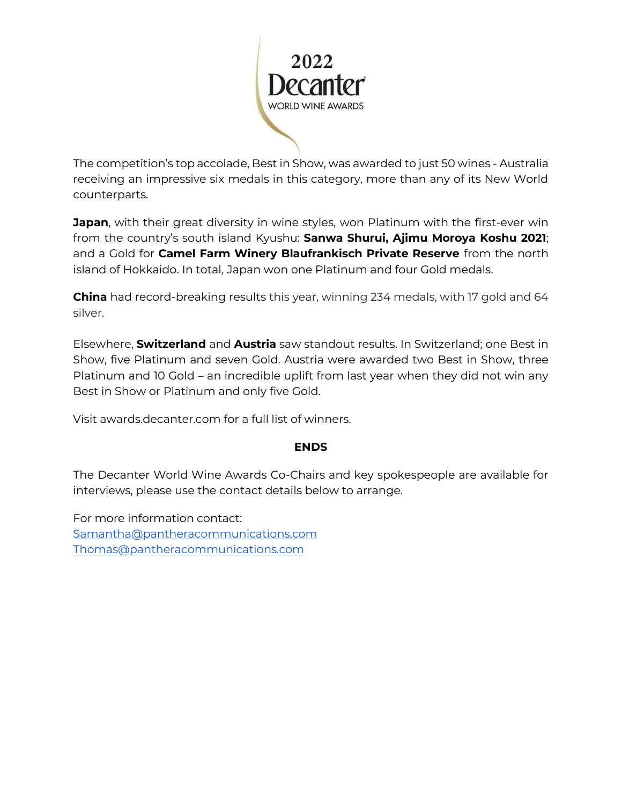

The competition's top accolade, Best in Show, was awarded to just 50 wines - Australia receiving an impressive six medals in this category, more than any of its New World counterparts.

**Japan**, with their great diversity in wine styles, won Platinum with the first-ever win from the country's south island Kyushu: **Sanwa Shurui, Ajimu Moroya Koshu 2021**; and a Gold for **Camel Farm Winery Blaufrankisch Private Reserve** from the north island of Hokkaido. In total, Japan won one Platinum and four Gold medals.

**China** had record-breaking results this year, winning 234 medals, with 17 gold and 64 silver.

Elsewhere, **Switzerland** and **Austria** saw standout results. In Switzerland; one Best in Show, five Platinum and seven Gold. Austria were awarded two Best in Show, three Platinum and 10 Gold – an incredible uplift from last year when they did not win any Best in Show or Platinum and only five Gold.

Visit awards.decanter.com for a full list of winners.

### **ENDS**

The Decanter World Wine Awards Co-Chairs and key spokespeople are available for interviews, please use the contact details below to arrange.

For more information contact: [Samantha@pantheracommunications.com](mailto:Samantha@pantheracommunications.com) [Thomas@pantheracommunications.com](mailto:Thomas@pantheracommunications.com)